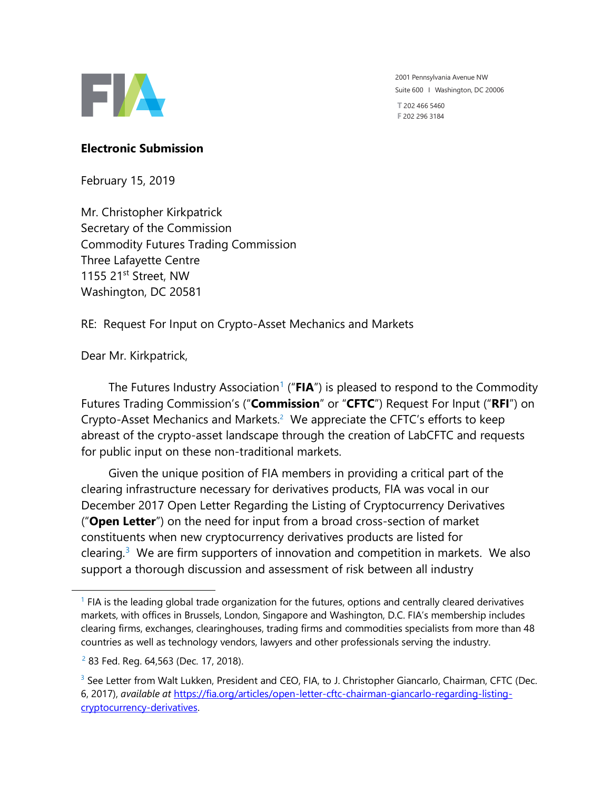

2001 Pennsylvania Avenue NW Suite 600 I Washington, DC 20006 **T** 202 466 5460

**F** 202 296 3184

### **Electronic Submission**

February 15, 2019

Mr. Christopher Kirkpatrick Secretary of the Commission Commodity Futures Trading Commission Three Lafayette Centre 1155 21st Street, NW Washington, DC 20581

RE: Request For Input on Crypto-Asset Mechanics and Markets

Dear Mr. Kirkpatrick,

The Futures Industry Association<sup>1</sup> ("**FIA**") is pleased to respond to the Commodity Futures Trading Commission's ("**Commission**" or "**CFTC**") Request For Input ("**RFI**") on Crypto-Asset Mechanics and Markets.<sup>2</sup> We appreciate the CFTC's efforts to keep abreast of the crypto-asset landscape through the creation of LabCFTC and requests for public input on these non-traditional markets.

Given the unique position of FIA members in providing a critical part of the clearing infrastructure necessary for derivatives products, FIA was vocal in our December 2017 Open Letter Regarding the Listing of Cryptocurrency Derivatives ("**Open Letter**") on the need for input from a broad cross-section of market constituents when new cryptocurrency derivatives products are listed for clearing. $3$  We are firm supporters of innovation and competition in markets. We also support a thorough discussion and assessment of risk between all industry

 $\overline{\phantom{a}}$ 

 $<sup>1</sup>$  FIA is the leading global trade organization for the futures, options and centrally cleared derivatives</sup> markets, with offices in Brussels, London, Singapore and Washington, D.C. FIA's membership includes clearing firms, exchanges, clearinghouses, trading firms and commodities specialists from more than 48 countries as well as technology vendors, lawyers and other professionals serving the industry.

<sup>&</sup>lt;sup>2</sup> 83 Fed. Reg. 64,563 (Dec. 17, 2018).

<sup>&</sup>lt;sup>3</sup> See Letter from Walt Lukken, President and CEO, FIA, to J. Christopher Giancarlo, Chairman, CFTC (Dec. 6, 2017), *available at* [https://fia.org/articles/open-letter-cftc-chairman-giancarlo-regarding-listing](https://fia.org/articles/open-letter-cftc-chairman-giancarlo-regarding-listing-cryptocurrency-derivatives)[cryptocurrency-derivatives.](https://fia.org/articles/open-letter-cftc-chairman-giancarlo-regarding-listing-cryptocurrency-derivatives)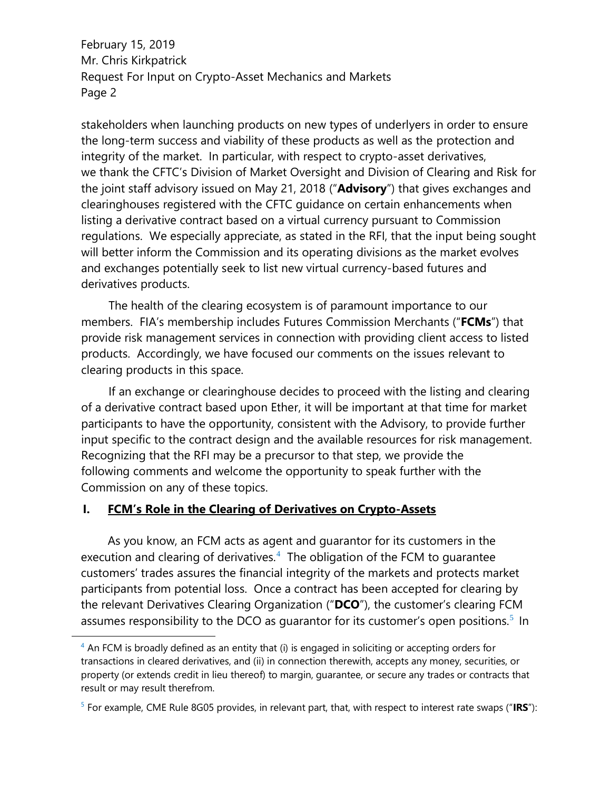stakeholders when launching products on new types of underlyers in order to ensure the long-term success and viability of these products as well as the protection and integrity of the market. In particular, with respect to crypto-asset derivatives, we thank the CFTC's Division of Market Oversight and Division of Clearing and Risk for the joint staff advisory issued on May 21, 2018 ("**Advisory**") that gives exchanges and clearinghouses registered with the CFTC guidance on certain enhancements when listing a derivative contract based on a virtual currency pursuant to Commission regulations. We especially appreciate, as stated in the RFI, that the input being sought will better inform the Commission and its operating divisions as the market evolves and exchanges potentially seek to list new virtual currency-based futures and derivatives products.

The health of the clearing ecosystem is of paramount importance to our members. FIA's membership includes Futures Commission Merchants ("**FCMs**") that provide risk management services in connection with providing client access to listed products. Accordingly, we have focused our comments on the issues relevant to clearing products in this space.

If an exchange or clearinghouse decides to proceed with the listing and clearing of a derivative contract based upon Ether, it will be important at that time for market participants to have the opportunity, consistent with the Advisory, to provide further input specific to the contract design and the available resources for risk management. Recognizing that the RFI may be a precursor to that step, we provide the following comments and welcome the opportunity to speak further with the Commission on any of these topics.

#### **I. FCM's Role in the Clearing of Derivatives on Crypto-Assets**

 $\overline{\phantom{a}}$ 

As you know, an FCM acts as agent and guarantor for its customers in the execution and clearing of derivatives.<sup>4</sup> The obligation of the FCM to guarantee customers' trades assures the financial integrity of the markets and protects market participants from potential loss. Once a contract has been accepted for clearing by the relevant Derivatives Clearing Organization ("**DCO**"), the customer's clearing FCM assumes responsibility to the DCO as guarantor for its customer's open positions.<sup>5</sup> In

 $4$  An FCM is broadly defined as an entity that (i) is engaged in soliciting or accepting orders for transactions in cleared derivatives, and (ii) in connection therewith, accepts any money, securities, or property (or extends credit in lieu thereof) to margin, guarantee, or secure any trades or contracts that result or may result therefrom.

<sup>5</sup> For example, CME Rule 8G05 provides, in relevant part, that, with respect to interest rate swaps ("**IRS**"):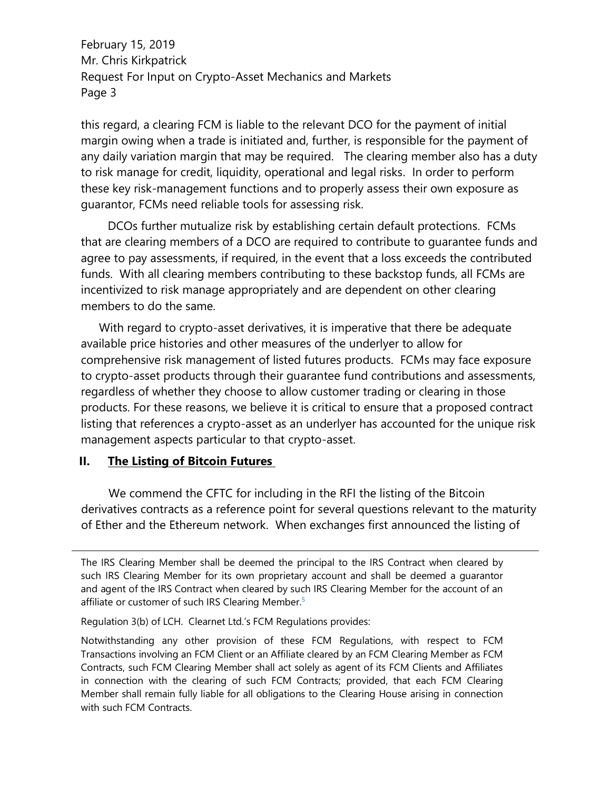this regard, a clearing FCM is liable to the relevant DCO for the payment of initial margin owing when a trade is initiated and, further, is responsible for the payment of any daily variation margin that may be required. The clearing member also has a duty to risk manage for credit, liquidity, operational and legal risks. In order to perform these key risk-management functions and to properly assess their own exposure as guarantor, FCMs need reliable tools for assessing risk.

DCOs further mutualize risk by establishing certain default protections. FCMs that are clearing members of a DCO are required to contribute to guarantee funds and agree to pay assessments, if required, in the event that a loss exceeds the contributed funds. With all clearing members contributing to these backstop funds, all FCMs are incentivized to risk manage appropriately and are dependent on other clearing members to do the same.

With regard to crypto-asset derivatives, it is imperative that there be adequate available price histories and other measures of the underlyer to allow for comprehensive risk management of listed futures products. FCMs may face exposure to crypto-asset products through their guarantee fund contributions and assessments, regardless of whether they choose to allow customer trading or clearing in those products. For these reasons, we believe it is critical to ensure that a proposed contract listing that references a crypto-asset as an underlyer has accounted for the unique risk management aspects particular to that crypto-asset.

#### **II. The Listing of Bitcoin Futures**

 $\overline{\phantom{a}}$ 

We commend the CFTC for including in the RFI the listing of the Bitcoin derivatives contracts as a reference point for several questions relevant to the maturity of Ether and the Ethereum network. When exchanges first announced the listing of

Regulation 3(b) of LCH. Clearnet Ltd.'s FCM Regulations provides:

Notwithstanding any other provision of these FCM Regulations, with respect to FCM Transactions involving an FCM Client or an Affiliate cleared by an FCM Clearing Member as FCM Contracts, such FCM Clearing Member shall act solely as agent of its FCM Clients and Affiliates in connection with the clearing of such FCM Contracts; provided, that each FCM Clearing Member shall remain fully liable for all obligations to the Clearing House arising in connection with such FCM Contracts.

The IRS Clearing Member shall be deemed the principal to the IRS Contract when cleared by such IRS Clearing Member for its own proprietary account and shall be deemed a guarantor and agent of the IRS Contract when cleared by such IRS Clearing Member for the account of an affiliate or customer of such IRS Clearing Member.<sup>5</sup>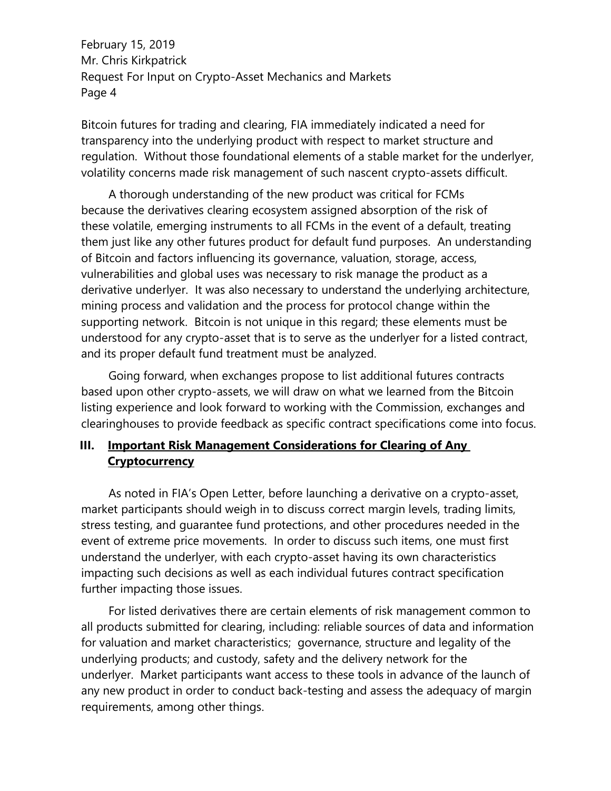Bitcoin futures for trading and clearing, FIA immediately indicated a need for transparency into the underlying product with respect to market structure and regulation. Without those foundational elements of a stable market for the underlyer, volatility concerns made risk management of such nascent crypto-assets difficult.

A thorough understanding of the new product was critical for FCMs because the derivatives clearing ecosystem assigned absorption of the risk of these volatile, emerging instruments to all FCMs in the event of a default, treating them just like any other futures product for default fund purposes. An understanding of Bitcoin and factors influencing its governance, valuation, storage, access, vulnerabilities and global uses was necessary to risk manage the product as a derivative underlyer. It was also necessary to understand the underlying architecture, mining process and validation and the process for protocol change within the supporting network. Bitcoin is not unique in this regard; these elements must be understood for any crypto-asset that is to serve as the underlyer for a listed contract, and its proper default fund treatment must be analyzed.

Going forward, when exchanges propose to list additional futures contracts based upon other crypto-assets, we will draw on what we learned from the Bitcoin listing experience and look forward to working with the Commission, exchanges and clearinghouses to provide feedback as specific contract specifications come into focus.

# **III. Important Risk Management Considerations for Clearing of Any Cryptocurrency**

As noted in FIA's Open Letter, before launching a derivative on a crypto-asset, market participants should weigh in to discuss correct margin levels, trading limits, stress testing, and guarantee fund protections, and other procedures needed in the event of extreme price movements. In order to discuss such items, one must first understand the underlyer, with each crypto-asset having its own characteristics impacting such decisions as well as each individual futures contract specification further impacting those issues.

For listed derivatives there are certain elements of risk management common to all products submitted for clearing, including: reliable sources of data and information for valuation and market characteristics; governance, structure and legality of the underlying products; and custody, safety and the delivery network for the underlyer. Market participants want access to these tools in advance of the launch of any new product in order to conduct back-testing and assess the adequacy of margin requirements, among other things.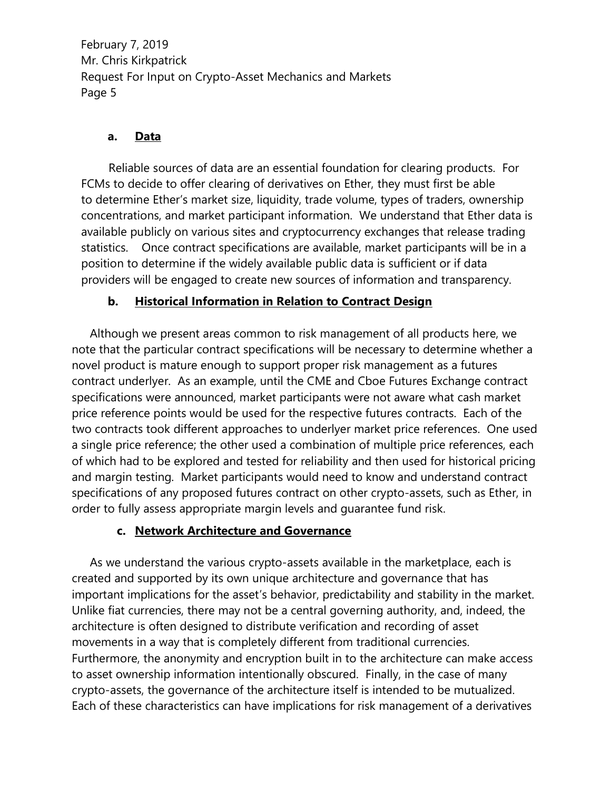## **a. Data**

Reliable sources of data are an essential foundation for clearing products. For FCMs to decide to offer clearing of derivatives on Ether, they must first be able to determine Ether's market size, liquidity, trade volume, types of traders, ownership concentrations, and market participant information. We understand that Ether data is available publicly on various sites and cryptocurrency exchanges that release trading statistics. Once contract specifications are available, market participants will be in a position to determine if the widely available public data is sufficient or if data providers will be engaged to create new sources of information and transparency.

## **b. Historical Information in Relation to Contract Design**

Although we present areas common to risk management of all products here, we note that the particular contract specifications will be necessary to determine whether a novel product is mature enough to support proper risk management as a futures contract underlyer. As an example, until the CME and Cboe Futures Exchange contract specifications were announced, market participants were not aware what cash market price reference points would be used for the respective futures contracts. Each of the two contracts took different approaches to underlyer market price references. One used a single price reference; the other used a combination of multiple price references, each of which had to be explored and tested for reliability and then used for historical pricing and margin testing. Market participants would need to know and understand contract specifications of any proposed futures contract on other crypto-assets, such as Ether, in order to fully assess appropriate margin levels and guarantee fund risk.

### **c. Network Architecture and Governance**

As we understand the various crypto-assets available in the marketplace, each is created and supported by its own unique architecture and governance that has important implications for the asset's behavior, predictability and stability in the market. Unlike fiat currencies, there may not be a central governing authority, and, indeed, the architecture is often designed to distribute verification and recording of asset movements in a way that is completely different from traditional currencies. Furthermore, the anonymity and encryption built in to the architecture can make access to asset ownership information intentionally obscured. Finally, in the case of many crypto-assets, the governance of the architecture itself is intended to be mutualized. Each of these characteristics can have implications for risk management of a derivatives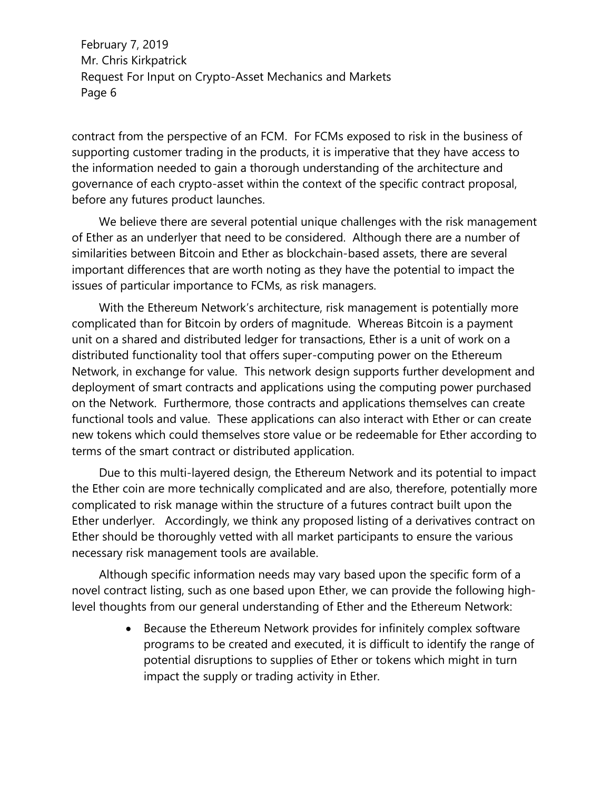contract from the perspective of an FCM. For FCMs exposed to risk in the business of supporting customer trading in the products, it is imperative that they have access to the information needed to gain a thorough understanding of the architecture and governance of each crypto-asset within the context of the specific contract proposal, before any futures product launches.

We believe there are several potential unique challenges with the risk management of Ether as an underlyer that need to be considered. Although there are a number of similarities between Bitcoin and Ether as blockchain-based assets, there are several important differences that are worth noting as they have the potential to impact the issues of particular importance to FCMs, as risk managers.

With the Ethereum Network's architecture, risk management is potentially more complicated than for Bitcoin by orders of magnitude. Whereas Bitcoin is a payment unit on a shared and distributed ledger for transactions, Ether is a unit of work on a distributed functionality tool that offers super-computing power on the Ethereum Network, in exchange for value. This network design supports further development and deployment of smart contracts and applications using the computing power purchased on the Network. Furthermore, those contracts and applications themselves can create functional tools and value. These applications can also interact with Ether or can create new tokens which could themselves store value or be redeemable for Ether according to terms of the smart contract or distributed application.

Due to this multi-layered design, the Ethereum Network and its potential to impact the Ether coin are more technically complicated and are also, therefore, potentially more complicated to risk manage within the structure of a futures contract built upon the Ether underlyer. Accordingly, we think any proposed listing of a derivatives contract on Ether should be thoroughly vetted with all market participants to ensure the various necessary risk management tools are available.

Although specific information needs may vary based upon the specific form of a novel contract listing, such as one based upon Ether, we can provide the following highlevel thoughts from our general understanding of Ether and the Ethereum Network:

> • Because the Ethereum Network provides for infinitely complex software programs to be created and executed, it is difficult to identify the range of potential disruptions to supplies of Ether or tokens which might in turn impact the supply or trading activity in Ether.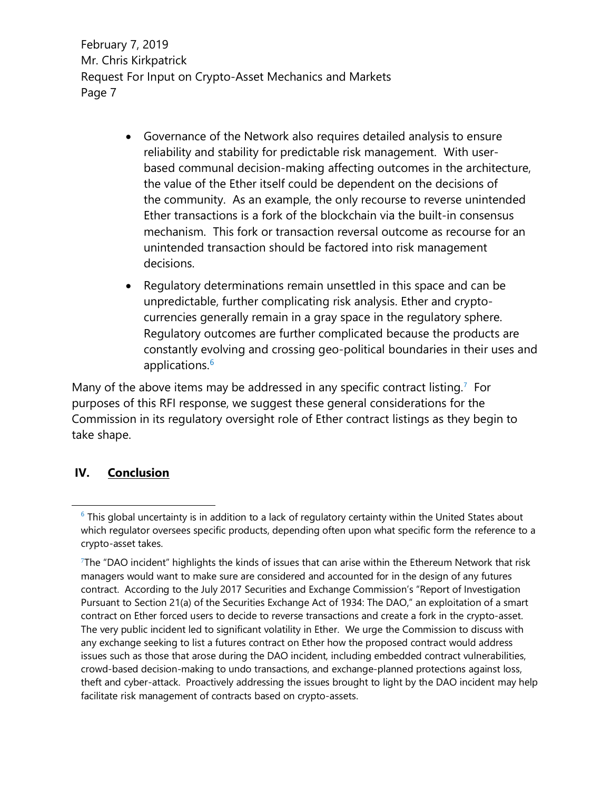- Governance of the Network also requires detailed analysis to ensure reliability and stability for predictable risk management. With userbased communal decision-making affecting outcomes in the architecture, the value of the Ether itself could be dependent on the decisions of the community. As an example, the only recourse to reverse unintended Ether transactions is a fork of the blockchain via the built-in consensus mechanism. This fork or transaction reversal outcome as recourse for an unintended transaction should be factored into risk management decisions.
- Regulatory determinations remain unsettled in this space and can be unpredictable, further complicating risk analysis. Ether and cryptocurrencies generally remain in a gray space in the regulatory sphere. Regulatory outcomes are further complicated because the products are constantly evolving and crossing geo-political boundaries in their uses and applications. 6

Many of the above items may be addressed in any specific contract listing.<sup>7</sup> For purposes of this RFI response, we suggest these general considerations for the Commission in its regulatory oversight role of Ether contract listings as they begin to take shape.

### **IV. Conclusion**

 $\overline{\phantom{a}}$ 

 $6$  This global uncertainty is in addition to a lack of regulatory certainty within the United States about which regulator oversees specific products, depending often upon what specific form the reference to a crypto-asset takes.

<sup>7</sup>The "DAO incident" highlights the kinds of issues that can arise within the Ethereum Network that risk managers would want to make sure are considered and accounted for in the design of any futures contract. According to the July 2017 Securities and Exchange Commission's "Report of Investigation Pursuant to Section 21(a) of the Securities Exchange Act of 1934: The DAO," an exploitation of a smart contract on Ether forced users to decide to reverse transactions and create a fork in the crypto-asset. The very public incident led to significant volatility in Ether. We urge the Commission to discuss with any exchange seeking to list a futures contract on Ether how the proposed contract would address issues such as those that arose during the DAO incident, including embedded contract vulnerabilities, crowd-based decision-making to undo transactions, and exchange-planned protections against loss, theft and cyber-attack. Proactively addressing the issues brought to light by the DAO incident may help facilitate risk management of contracts based on crypto-assets.